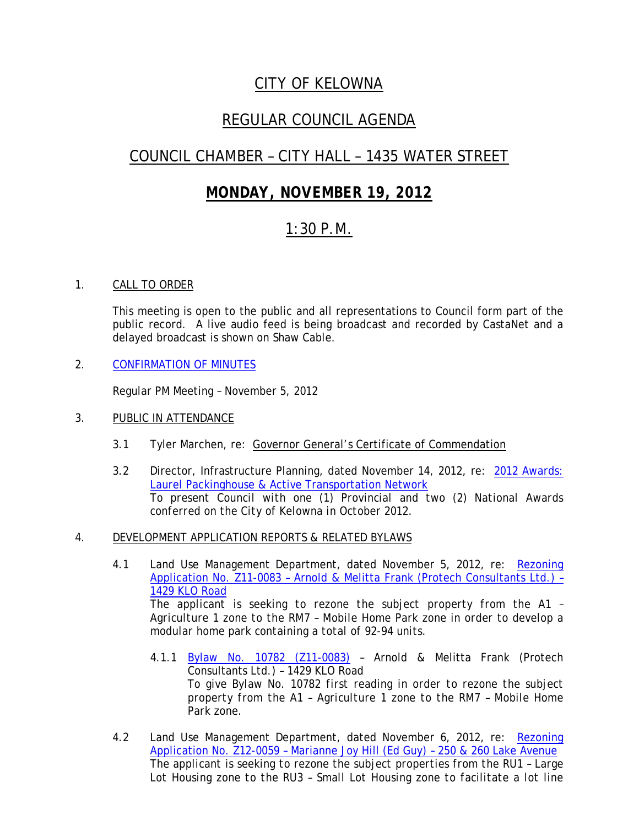## *CITY OF KELOWNA*

## *REGULAR COUNCIL AGENDA*

# *COUNCIL CHAMBER – CITY HALL – 1435 WATER STREET*

## *MONDAY, NOVEMBER 19, 2012*

### *1:30 P.M.*

### 1. CALL TO ORDER

This meeting is open to the public and all representations to Council form part of the public record. A live audio feed is being broadcast and recorded by CastaNet and a delayed broadcast is shown on Shaw Cable.

2. CONFIRMATION OF MINUTES

Regular PM Meeting – November 5, 2012

### 3. PUBLIC IN ATTENDANCE

- 3.1 Tyler Marchen, re: Governor General's Certificate of Commendation
- 3.2 Director, Infrastructure Planning, dated November 14, 2012, re: 2012 Awards: Laurel Packinghouse & Active Transportation Network *To present Council with one (1) Provincial and two (2) National Awards conferred on the City of Kelowna in October 2012.*

### 4. DEVELOPMENT APPLICATION REPORTS & RELATED BYLAWS

- 4.1 Land Use Management Department, dated November 5, 2012, re: Rezoning Application No. Z11-0083 – Arnold & Melitta Frank (Protech Consultants Ltd.) – 1429 KLO Road *The applicant is seeking to rezone the subject property from the A1 – Agriculture 1 zone to the RM7 – Mobile Home Park zone in order to develop a modular home park containing a total of 92-94 units.*
	- 4.1.1 Bylaw No. 10782 (Z11-0083) Arnold & Melitta Frank (Protech Consultants Ltd.) – 1429 KLO Road *To give Bylaw No. 10782 first reading in order to rezone the subject property from the A1 – Agriculture 1 zone to the RM7 – Mobile Home Park zone.*
- 4.2 Land Use Management Department, dated November 6, 2012, re: Rezoning Application No. Z12-0059 – Marianne Joy Hill (Ed Guy) – 250 & 260 Lake Avenue *The applicant is seeking to rezone the subject properties from the RU1 – Large Lot Housing zone to the RU3 – Small Lot Housing zone to facilitate a lot line*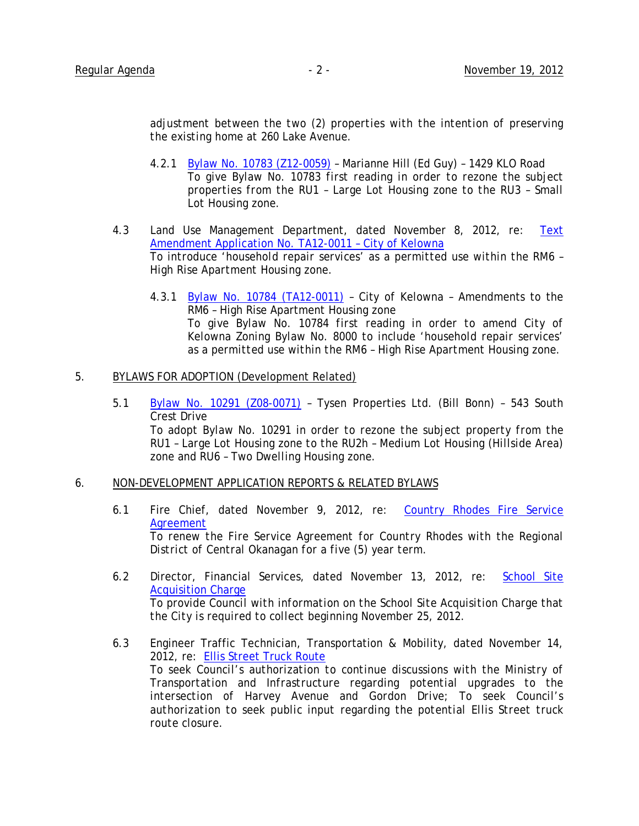*adjustment between the two (2) properties with the intention of preserving the existing home at 260 Lake Avenue.*

- 4.2.1 Bylaw No. 10783 (Z12-0059) Marianne Hill (Ed Guy) 1429 KLO Road *To give Bylaw No. 10783 first reading in order to rezone the subject properties from the RU1 – Large Lot Housing zone to the RU3 – Small Lot Housing zone.*
- 4.3 Land Use Management Department, dated November 8, 2012, re: Text Amendment Application No. TA12-0011 – City of Kelowna *To introduce 'household repair services' as a permitted use within the RM6 – High Rise Apartment Housing zone.*
	- 4.3.1 Bylaw No. 10784 (TA12-0011) City of Kelowna Amendments to the RM6 – High Rise Apartment Housing zone *To give Bylaw No. 10784 first reading in order to amend City of Kelowna Zoning Bylaw No. 8000 to include 'household repair services' as a permitted use within the RM6 – High Rise Apartment Housing zone.*

#### 5. BYLAWS FOR ADOPTION (Development Related)

5.1 Bylaw No. 10291 (Z08-0071) – Tysen Properties Ltd. (Bill Bonn) – 543 South Crest Drive *To adopt Bylaw No. 10291 in order to rezone the subject property from the RU1 – Large Lot Housing zone to the RU2h – Medium Lot Housing (Hillside Area) zone and RU6 – Two Dwelling Housing zone.*

#### 6. NON-DEVELOPMENT APPLICATION REPORTS & RELATED BYLAWS

- 6.1 Fire Chief, dated November 9, 2012, re: Country Rhodes Fire Service Agreement *To renew the Fire Service Agreement for Country Rhodes with the Regional District of Central Okanagan for a five (5) year term.*
- 6.2 Director, Financial Services, dated November 13, 2012, re: School Site Acquisition Charge *To provide Council with information on the School Site Acquisition Charge that the City is required to collect beginning November 25, 2012.*
- 6.3 Engineer Traffic Technician, Transportation & Mobility, dated November 14, 2012, re: Ellis Street Truck Route *To seek Council's authorization to continue discussions with the Ministry of Transportation and Infrastructure regarding potential upgrades to the intersection of Harvey Avenue and Gordon Drive; To seek Council's authorization to seek public input regarding the potential Ellis Street truck route closure.*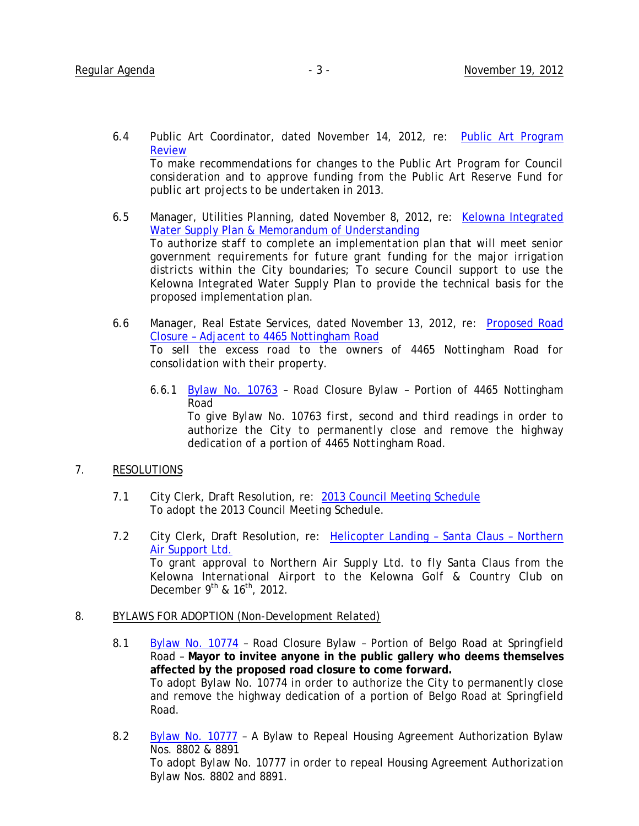- 6.4 Public Art Coordinator, dated November 14, 2012, re: Public Art Program Review *To make recommendations for changes to the Public Art Program for Council consideration and to approve funding from the Public Art Reserve Fund for public art projects to be undertaken in 2013.*
- 6.5 Manager, Utilities Planning, dated November 8, 2012, re: Kelowna Integrated Water Supply Plan & Memorandum of Understanding *To authorize staff to complete an implementation plan that will meet senior government requirements for future grant funding for the major irrigation districts within the City boundaries; To secure Council support to use the Kelowna Integrated Water Supply Plan to provide the technical basis for the proposed implementation plan.*
- 6.6 Manager, Real Estate Services, dated November 13, 2012, re: Proposed Road Closure – Adjacent to 4465 Nottingham Road *To sell the excess road to the owners of 4465 Nottingham Road for consolidation with their property.*
	- 6.6.1 Bylaw No. 10763 Road Closure Bylaw Portion of 4465 Nottingham Road

*To give Bylaw No. 10763 first, second and third readings in order to authorize the City to permanently close and remove the highway dedication of a portion of 4465 Nottingham Road.*

### 7. RESOLUTIONS

- 7.1 City Clerk, Draft Resolution, re: 2013 Council Meeting Schedule *To adopt the 2013 Council Meeting Schedule.*
- 7.2 City Clerk, Draft Resolution, re: Helicopter Landing Santa Claus Northern Air Support Ltd. *To grant approval to Northern Air Supply Ltd. to fly Santa Claus from the Kelowna International Airport to the Kelowna Golf & Country Club on December 9th & 16th, 2012.*

### 8. BYLAWS FOR ADOPTION (Non-Development Related)

- 8.1 Bylaw No. 10774 Road Closure Bylaw Portion of Belgo Road at Springfield Road – **Mayor to invitee anyone in the public gallery who deems themselves affected by the proposed road closure to come forward.** *To adopt Bylaw No. 10774 in order to authorize the City to permanently close and remove the highway dedication of a portion of Belgo Road at Springfield Road.*
- 8.2 Bylaw No. 10777 A Bylaw to Repeal Housing Agreement Authorization Bylaw Nos. 8802 & 8891 *To adopt Bylaw No. 10777 in order to repeal Housing Agreement Authorization Bylaw Nos. 8802 and 8891.*